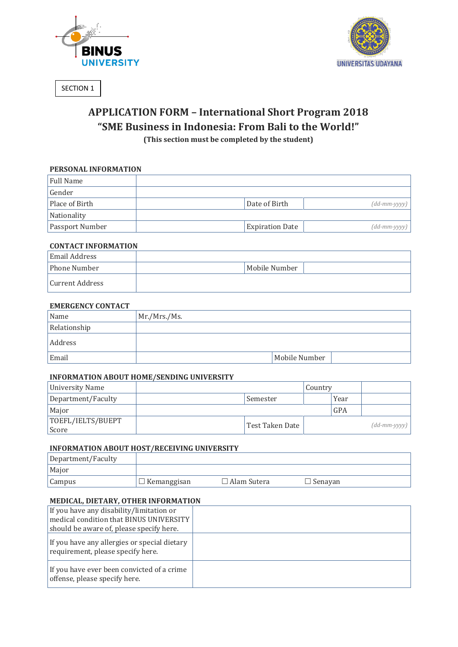



SECTION 1

# **APPLICATION FORM – International Short Program 2018 "SME Business in Indonesia: From Bali to the World!" (This section must be completed by the student)**

### **PERSONAL INFORMATION**

| Full Name              |                        |                              |
|------------------------|------------------------|------------------------------|
| Gender                 |                        |                              |
| Place of Birth         | Date of Birth          | $(dd\text{-}mm\text{-}yyy$ ) |
| Nationality            |                        |                              |
| <b>Passport Number</b> | <b>Expiration Date</b> | $(dd\text{-}mm\text{-}yyyy$  |

#### **CONTACT INFORMATION**

| Email Address   |               |  |
|-----------------|---------------|--|
| Phone Number    | Mobile Number |  |
| Current Address |               |  |

#### **EMERGENCY CONTACT**

| Name         | Mr./Mrs./Ms.  |
|--------------|---------------|
| Relationship |               |
| Address      |               |
| Email        | Mobile Number |

## **INFORMATION ABOUT HOME/SENDING UNIVERSITY**

| University Name                   |                 | Country |      |                             |
|-----------------------------------|-----------------|---------|------|-----------------------------|
| Department/Faculty                | Semester        |         | Year |                             |
| Major                             |                 |         | GPA  |                             |
| TOEFL/IELTS/BUEPT<br><i>Score</i> | Test Taken Date |         |      | $(dd\text{-}mm\text{-}yyy)$ |

## **INFORMATION ABOUT HOST/RECEIVING UNIVERSITY**

| Department/Faculty |             |                    |                |
|--------------------|-------------|--------------------|----------------|
| Major              |             |                    |                |
| <b>Campus</b>      | Kemanggisan | $\Box$ Alam Sutera | $\Box$ Senavan |

# **MEDICAL, DIETARY, OTHER INFORMATION**

| If you have any disability/limitation or<br>medical condition that BINUS UNIVERSITY<br>should be aware of, please specify here. |  |
|---------------------------------------------------------------------------------------------------------------------------------|--|
| If you have any allergies or special dietary<br>requirement, please specify here.                                               |  |
| If you have ever been convicted of a crime<br>offense, please specify here.                                                     |  |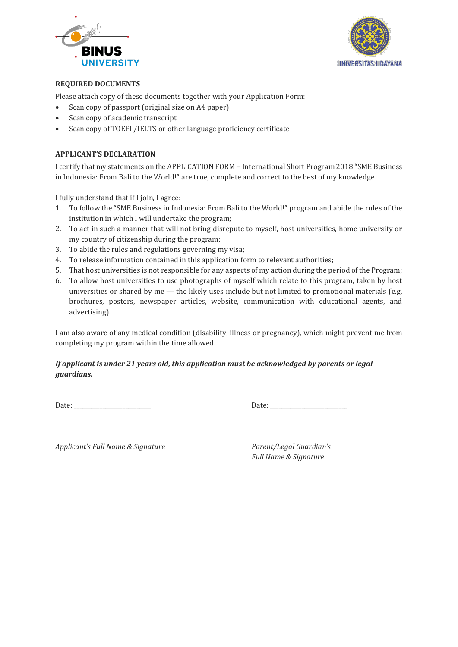



## **REQUIRED DOCUMENTS**

Please attach copy of these documents together with your Application Form:

- Scan copy of passport (original size on A4 paper)
- Scan copy of academic transcript
- Scan copy of TOEFL/IELTS or other language proficiency certificate

## **APPLICANT'S DECLARATION**

I certify that my statements on the APPLICATION FORM – International Short Program 2018 "SME Business in Indonesia: From Bali to the World!" are true, complete and correct to the best of my knowledge.

I fully understand that if I join, I agree:

- 1. To follow the "SME Business in Indonesia: From Bali to the World!" program and abide the rules of the institution in which I will undertake the program;
- 2. To act in such a manner that will not bring disrepute to myself, host universities, home university or my country of citizenship during the program;
- 3. To abide the rules and regulations governing my visa;
- 4. To release information contained in this application form to relevant authorities;
- 5. That host universities is not responsible for any aspects of my action during the period of the Program;
- 6. To allow host universities to use photographs of myself which relate to this program, taken by host universities or shared by me — the likely uses include but not limited to promotional materials (e.g. brochures, posters, newspaper articles, website, communication with educational agents, and advertising).

I am also aware of any medical condition (disability, illness or pregnancy), which might prevent me from completing my program within the time allowed.

# *If applicant is under 21 years old, this application must be acknowledged by parents or legal guardians.*

Date: \_\_\_\_\_\_\_\_\_\_\_\_\_\_\_\_\_\_\_\_\_\_\_\_\_\_\_ Date: \_\_\_\_\_\_\_\_\_\_\_\_\_\_\_\_\_\_\_\_\_\_\_\_\_\_\_

*Applicant's Full Name & Signature Parent/Legal Guardian's* 

*Full Name & Signature*